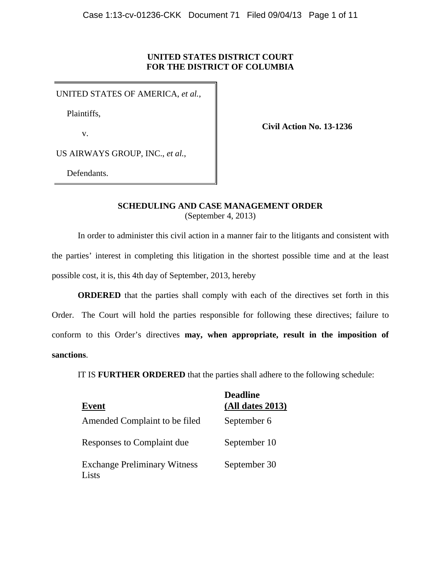# **UNITED STATES DISTRICT COURT FOR THE DISTRICT OF COLUMBIA**

UNITED STATES OF AMERICA, *et al.*,

Plaintiffs,

v.

**Civil Action No. 13-1236**

US AIRWAYS GROUP, INC., *et al.*,

Defendants.

# **SCHEDULING AND CASE MANAGEMENT ORDER**  (September 4, 2013)

In order to administer this civil action in a manner fair to the litigants and consistent with the parties' interest in completing this litigation in the shortest possible time and at the least possible cost, it is, this 4th day of September, 2013, hereby

**ORDERED** that the parties shall comply with each of the directives set forth in this Order. The Court will hold the parties responsible for following these directives; failure to conform to this Order's directives **may, when appropriate, result in the imposition of sanctions**.

IT IS **FURTHER ORDERED** that the parties shall adhere to the following schedule:

| Event                                        | <b>Deadline</b><br>$(All$ dates 2013) |
|----------------------------------------------|---------------------------------------|
| Amended Complaint to be filed                | September 6                           |
| Responses to Complaint due                   | September 10                          |
| <b>Exchange Preliminary Witness</b><br>Lists | September 30                          |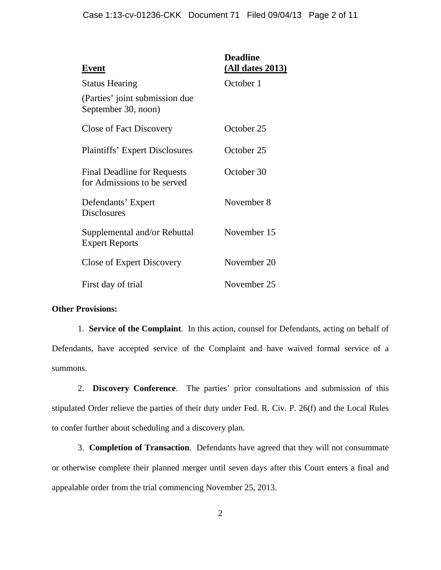| Event                                                             | <b>Deadline</b><br><u>(All dates 2013)</u> |
|-------------------------------------------------------------------|--------------------------------------------|
| <b>Status Hearing</b>                                             | October 1                                  |
| (Parties' joint submission due<br>September 30, noon)             |                                            |
| <b>Close of Fact Discovery</b>                                    | October 25                                 |
| <b>Plaintiffs' Expert Disclosures</b>                             | October 25                                 |
| <b>Final Deadline for Requests</b><br>for Admissions to be served | October 30                                 |
| Defendants' Expert<br><b>Disclosures</b>                          | November 8                                 |
| Supplemental and/or Rebuttal<br><b>Expert Reports</b>             | November 15                                |
| Close of Expert Discovery                                         | November 20                                |
| First day of trial                                                | November 25                                |

# **Other Provisions:**

1. **Service of the Complaint**. In this action, counsel for Defendants, acting on behalf of Defendants, have accepted service of the Complaint and have waived formal service of a summons.

2. **Discovery Conference**. The parties' prior consultations and submission of this stipulated Order relieve the parties of their duty under Fed. R. Civ. P. 26(f) and the Local Rules to confer further about scheduling and a discovery plan.

3. **Completion of Transaction**. Defendants have agreed that they will not consummate or otherwise complete their planned merger until seven days after this Court enters a final and appealable order from the trial commencing November 25, 2013.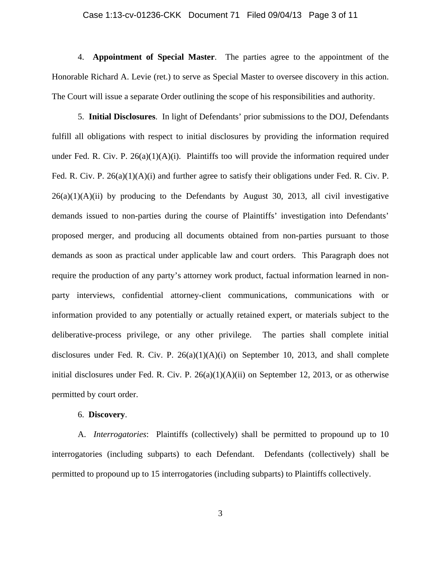#### Case 1:13-cv-01236-CKK Document 71 Filed 09/04/13 Page 3 of 11

4. **Appointment of Special Master**. The parties agree to the appointment of the Honorable Richard A. Levie (ret.) to serve as Special Master to oversee discovery in this action. The Court will issue a separate Order outlining the scope of his responsibilities and authority.

5. **Initial Disclosures**. In light of Defendants' prior submissions to the DOJ, Defendants fulfill all obligations with respect to initial disclosures by providing the information required under Fed. R. Civ. P.  $26(a)(1)(A)(i)$ . Plaintiffs too will provide the information required under Fed. R. Civ. P. 26(a)(1)(A)(i) and further agree to satisfy their obligations under Fed. R. Civ. P.  $26(a)(1)(A)(ii)$  by producing to the Defendants by August 30, 2013, all civil investigative demands issued to non-parties during the course of Plaintiffs' investigation into Defendants' proposed merger, and producing all documents obtained from non-parties pursuant to those demands as soon as practical under applicable law and court orders. This Paragraph does not require the production of any party's attorney work product, factual information learned in nonparty interviews, confidential attorney-client communications, communications with or information provided to any potentially or actually retained expert, or materials subject to the deliberative-process privilege, or any other privilege. The parties shall complete initial disclosures under Fed. R. Civ. P.  $26(a)(1)(A)(i)$  on September 10, 2013, and shall complete initial disclosures under Fed. R. Civ. P.  $26(a)(1)(A)(ii)$  on September 12, 2013, or as otherwise permitted by court order.

### 6. **Discovery**.

A. *Interrogatories*: Plaintiffs (collectively) shall be permitted to propound up to 10 interrogatories (including subparts) to each Defendant. Defendants (collectively) shall be permitted to propound up to 15 interrogatories (including subparts) to Plaintiffs collectively.

3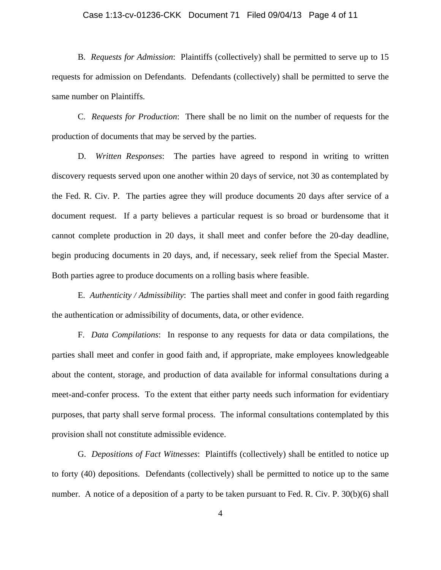### Case 1:13-cv-01236-CKK Document 71 Filed 09/04/13 Page 4 of 11

B. *Requests for Admission*: Plaintiffs (collectively) shall be permitted to serve up to 15 requests for admission on Defendants. Defendants (collectively) shall be permitted to serve the same number on Plaintiffs.

 C. *Requests for Production*: There shall be no limit on the number of requests for the production of documents that may be served by the parties.

D. *Written Responses*: The parties have agreed to respond in writing to written discovery requests served upon one another within 20 days of service, not 30 as contemplated by the Fed. R. Civ. P. The parties agree they will produce documents 20 days after service of a document request. If a party believes a particular request is so broad or burdensome that it cannot complete production in 20 days, it shall meet and confer before the 20-day deadline, begin producing documents in 20 days, and, if necessary, seek relief from the Special Master. Both parties agree to produce documents on a rolling basis where feasible.

E. *Authenticity / Admissibility*: The parties shall meet and confer in good faith regarding the authentication or admissibility of documents, data, or other evidence.

F. *Data Compilations*: In response to any requests for data or data compilations, the parties shall meet and confer in good faith and, if appropriate, make employees knowledgeable about the content, storage, and production of data available for informal consultations during a meet-and-confer process. To the extent that either party needs such information for evidentiary purposes, that party shall serve formal process. The informal consultations contemplated by this provision shall not constitute admissible evidence.

G. *Depositions of Fact Witnesses*: Plaintiffs (collectively) shall be entitled to notice up to forty (40) depositions. Defendants (collectively) shall be permitted to notice up to the same number. A notice of a deposition of a party to be taken pursuant to Fed. R. Civ. P. 30(b)(6) shall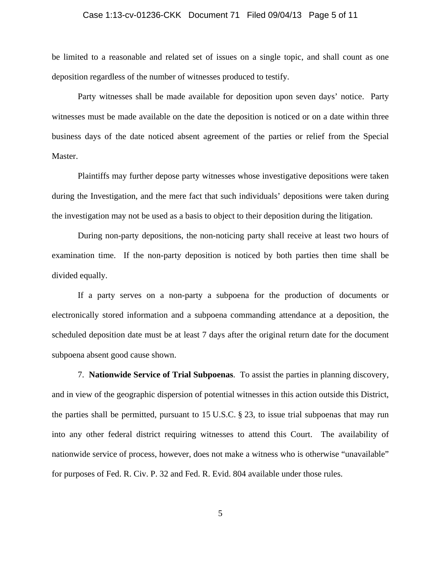### Case 1:13-cv-01236-CKK Document 71 Filed 09/04/13 Page 5 of 11

be limited to a reasonable and related set of issues on a single topic, and shall count as one deposition regardless of the number of witnesses produced to testify.

Party witnesses shall be made available for deposition upon seven days' notice. Party witnesses must be made available on the date the deposition is noticed or on a date within three business days of the date noticed absent agreement of the parties or relief from the Special Master.

Plaintiffs may further depose party witnesses whose investigative depositions were taken during the Investigation, and the mere fact that such individuals' depositions were taken during the investigation may not be used as a basis to object to their deposition during the litigation.

During non-party depositions, the non-noticing party shall receive at least two hours of examination time. If the non-party deposition is noticed by both parties then time shall be divided equally.

 If a party serves on a non-party a subpoena for the production of documents or electronically stored information and a subpoena commanding attendance at a deposition, the scheduled deposition date must be at least 7 days after the original return date for the document subpoena absent good cause shown.

7. **Nationwide Service of Trial Subpoenas**. To assist the parties in planning discovery, and in view of the geographic dispersion of potential witnesses in this action outside this District, the parties shall be permitted, pursuant to 15 U.S.C. § 23, to issue trial subpoenas that may run into any other federal district requiring witnesses to attend this Court. The availability of nationwide service of process, however, does not make a witness who is otherwise "unavailable" for purposes of Fed. R. Civ. P. 32 and Fed. R. Evid. 804 available under those rules.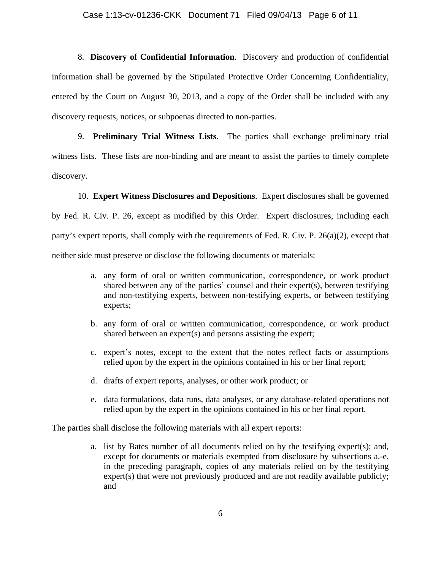#### Case 1:13-cv-01236-CKK Document 71 Filed 09/04/13 Page 6 of 11

8. **Discovery of Confidential Information**. Discovery and production of confidential information shall be governed by the Stipulated Protective Order Concerning Confidentiality, entered by the Court on August 30, 2013, and a copy of the Order shall be included with any discovery requests, notices, or subpoenas directed to non-parties.

9. **Preliminary Trial Witness Lists**. The parties shall exchange preliminary trial witness lists. These lists are non-binding and are meant to assist the parties to timely complete discovery.

10. **Expert Witness Disclosures and Depositions**. Expert disclosures shall be governed by Fed. R. Civ. P. 26, except as modified by this Order. Expert disclosures, including each party's expert reports, shall comply with the requirements of Fed. R. Civ. P. 26(a)(2), except that neither side must preserve or disclose the following documents or materials:

- a. any form of oral or written communication, correspondence, or work product shared between any of the parties' counsel and their expert(s), between testifying and non-testifying experts, between non-testifying experts, or between testifying experts;
- b. any form of oral or written communication, correspondence, or work product shared between an expert(s) and persons assisting the expert;
- c. expert's notes, except to the extent that the notes reflect facts or assumptions relied upon by the expert in the opinions contained in his or her final report;
- d. drafts of expert reports, analyses, or other work product; or
- e. data formulations, data runs, data analyses, or any database-related operations not relied upon by the expert in the opinions contained in his or her final report.

The parties shall disclose the following materials with all expert reports:

a. list by Bates number of all documents relied on by the testifying expert(s); and, except for documents or materials exempted from disclosure by subsections a.-e. in the preceding paragraph, copies of any materials relied on by the testifying expert(s) that were not previously produced and are not readily available publicly; and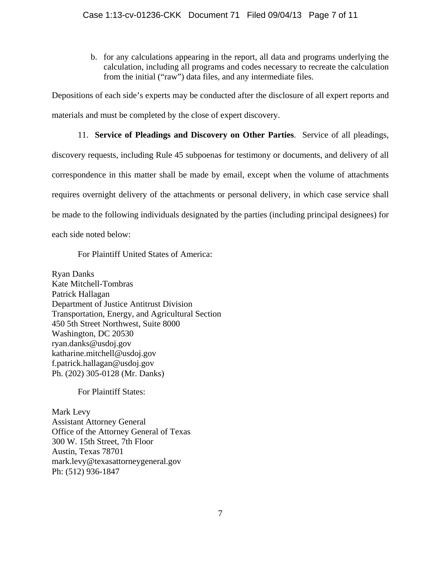b. for any calculations appearing in the report, all data and programs underlying the calculation, including all programs and codes necessary to recreate the calculation from the initial ("raw") data files, and any intermediate files.

Depositions of each side's experts may be conducted after the disclosure of all expert reports and materials and must be completed by the close of expert discovery.

11. **Service of Pleadings and Discovery on Other Parties**. Service of all pleadings, discovery requests, including Rule 45 subpoenas for testimony or documents, and delivery of all correspondence in this matter shall be made by email, except when the volume of attachments requires overnight delivery of the attachments or personal delivery, in which case service shall be made to the following individuals designated by the parties (including principal designees) for each side noted below:

For Plaintiff United States of America:

Ryan Danks Kate Mitchell-Tombras Patrick Hallagan Department of Justice Antitrust Division Transportation, Energy, and Agricultural Section 450 5th Street Northwest, Suite 8000 Washington, DC 20530 ryan.danks@usdoj.gov katharine.mitchell@usdoj.gov f.patrick.hallagan@usdoj.gov Ph. (202) 305-0128 (Mr. Danks)

For Plaintiff States:

Mark Levy Assistant Attorney General Office of the Attorney General of Texas 300 W. 15th Street, 7th Floor Austin, Texas 78701 mark.levy@texasattorneygeneral.gov Ph: (512) 936-1847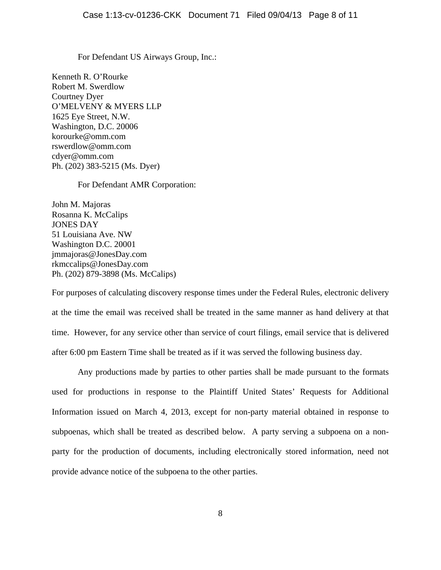For Defendant US Airways Group, Inc.:

Kenneth R. O'Rourke Robert M. Swerdlow Courtney Dyer O'MELVENY & MYERS LLP 1625 Eye Street, N.W. Washington, D.C. 20006 korourke@omm.com rswerdlow@omm.com cdyer@omm.com Ph. (202) 383-5215 (Ms. Dyer)

### For Defendant AMR Corporation:

John M. Majoras Rosanna K. McCalips JONES DAY 51 Louisiana Ave. NW Washington D.C. 20001 jmmajoras@JonesDay.com rkmccalips@JonesDay.com Ph. (202) 879-3898 (Ms. McCalips)

For purposes of calculating discovery response times under the Federal Rules, electronic delivery at the time the email was received shall be treated in the same manner as hand delivery at that time. However, for any service other than service of court filings, email service that is delivered after 6:00 pm Eastern Time shall be treated as if it was served the following business day.

 Any productions made by parties to other parties shall be made pursuant to the formats used for productions in response to the Plaintiff United States' Requests for Additional Information issued on March 4, 2013, except for non-party material obtained in response to subpoenas, which shall be treated as described below. A party serving a subpoena on a nonparty for the production of documents, including electronically stored information, need not provide advance notice of the subpoena to the other parties.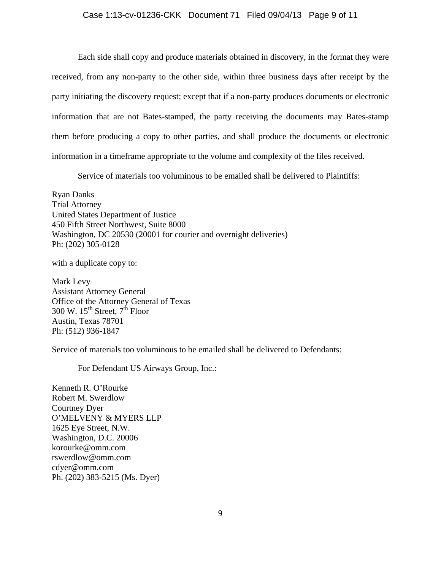### Case 1:13-cv-01236-CKK Document 71 Filed 09/04/13 Page 9 of 11

Each side shall copy and produce materials obtained in discovery, in the format they were received, from any non-party to the other side, within three business days after receipt by the party initiating the discovery request; except that if a non-party produces documents or electronic information that are not Bates-stamped, the party receiving the documents may Bates-stamp them before producing a copy to other parties, and shall produce the documents or electronic information in a timeframe appropriate to the volume and complexity of the files received.

Service of materials too voluminous to be emailed shall be delivered to Plaintiffs:

Ryan Danks Trial Attorney United States Department of Justice 450 Fifth Street Northwest, Suite 8000 Washington, DC 20530 (20001 for courier and overnight deliveries) Ph: (202) 305-0128

with a duplicate copy to:

Mark Levy Assistant Attorney General Office of the Attorney General of Texas  $300 \text{ W.} 15^{\text{th}}$  Street,  $7^{\text{th}}$  Floor Austin, Texas 78701 Ph: (512) 936-1847

Service of materials too voluminous to be emailed shall be delivered to Defendants:

For Defendant US Airways Group, Inc.:

Kenneth R. O'Rourke Robert M. Swerdlow Courtney Dyer O'MELVENY & MYERS LLP 1625 Eye Street, N.W. Washington, D.C. 20006 korourke@omm.com rswerdlow@omm.com cdyer@omm.com Ph. (202) 383-5215 (Ms. Dyer)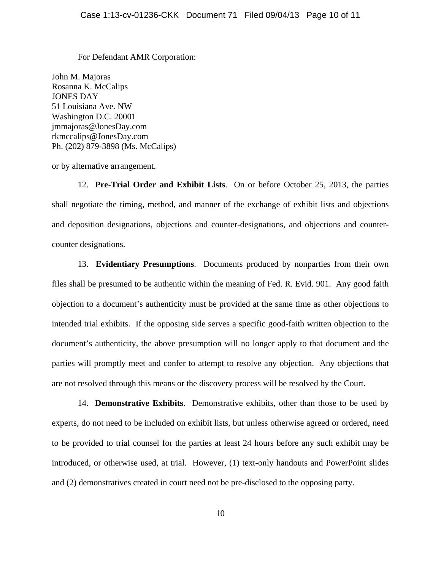For Defendant AMR Corporation:

John M. Majoras Rosanna K. McCalips JONES DAY 51 Louisiana Ave. NW Washington D.C. 20001 jmmajoras@JonesDay.com rkmccalips@JonesDay.com Ph. (202) 879-3898 (Ms. McCalips)

or by alternative arrangement.

12. **Pre-Trial Order and Exhibit Lists**. On or before October 25, 2013, the parties shall negotiate the timing, method, and manner of the exchange of exhibit lists and objections and deposition designations, objections and counter-designations, and objections and countercounter designations.

13. **Evidentiary Presumptions**. Documents produced by nonparties from their own files shall be presumed to be authentic within the meaning of Fed. R. Evid. 901. Any good faith objection to a document's authenticity must be provided at the same time as other objections to intended trial exhibits. If the opposing side serves a specific good-faith written objection to the document's authenticity, the above presumption will no longer apply to that document and the parties will promptly meet and confer to attempt to resolve any objection. Any objections that are not resolved through this means or the discovery process will be resolved by the Court.

14. **Demonstrative Exhibits**. Demonstrative exhibits, other than those to be used by experts, do not need to be included on exhibit lists, but unless otherwise agreed or ordered, need to be provided to trial counsel for the parties at least 24 hours before any such exhibit may be introduced, or otherwise used, at trial. However, (1) text-only handouts and PowerPoint slides and (2) demonstratives created in court need not be pre-disclosed to the opposing party.